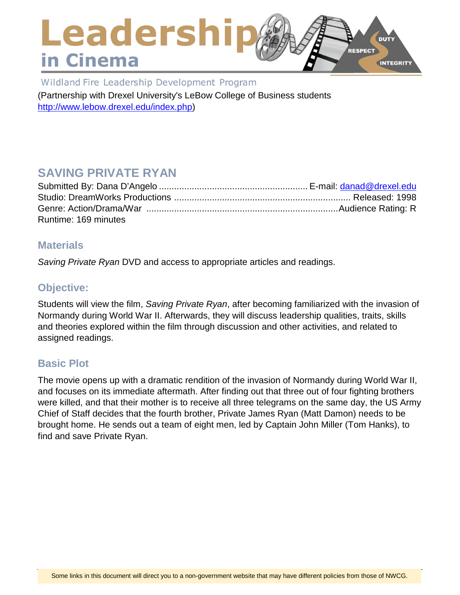## Leadershi **DUTY RESPECT** in Cinema **INTEGRITY**

Wildland Fire Leadership Development Program (Partnership with Drexel University's LeBow College of Business students [http://www.lebow.drexel.edu/index.php\)](http://www.lebow.drexel.edu/index.php)

# **SAVING PRIVATE RYAN**

| Runtime: 169 minutes |  |
|----------------------|--|

### **Materials**

*Saving Private Ryan* DVD and access to appropriate articles and readings.

# **Objective:**

Students will view the film, *Saving Private Ryan*, after becoming familiarized with the invasion of Normandy during World War II. Afterwards, they will discuss leadership qualities, traits, skills and theories explored within the film through discussion and other activities, and related to assigned readings.

# **Basic Plot**

The movie opens up with a dramatic rendition of the invasion of Normandy during World War II, and focuses on its immediate aftermath. After finding out that three out of four fighting brothers were killed, and that their mother is to receive all three telegrams on the same day, the US Army Chief of Staff decides that the fourth brother, Private James Ryan (Matt Damon) needs to be brought home. He sends out a team of eight men, led by Captain John Miller (Tom Hanks), to find and save Private Ryan.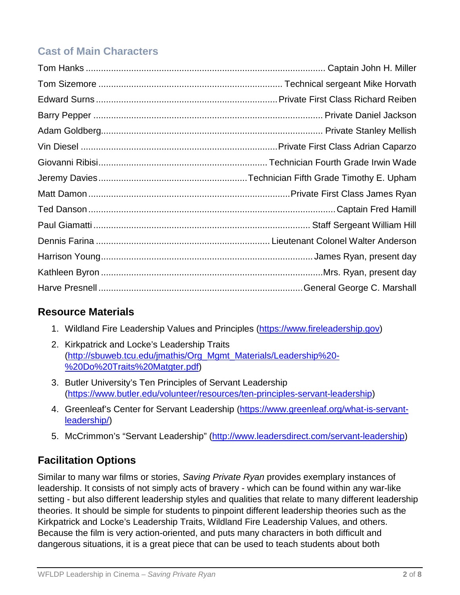# **Cast of Main Characters**

# **Resource Materials**

- 1. Wildland Fire Leadership Values and Principles [\(https://www.fireleadership.gov\)](https://www.fireleadership.gov/)
- 2. Kirkpatrick and Locke's Leadership Traits [\(http://sbuweb.tcu.edu/jmathis/Org\\_Mgmt\\_Materials/Leadership%20-](http://sbuweb.tcu.edu/jmathis/Org_Mgmt_Materials/Leadership%20-%20Do%20Traits%20Matgter.pdf) [%20Do%20Traits%20Matgter.pdf\)](http://sbuweb.tcu.edu/jmathis/Org_Mgmt_Materials/Leadership%20-%20Do%20Traits%20Matgter.pdf)
- 3. Butler University's Ten Principles of Servant Leadership [\(https://www.butler.edu/volunteer/resources/ten-principles-servant-leadership\)](https://www.butler.edu/volunteer/resources/ten-principles-servant-leadership)
- 4. Greenleaf's Center for Servant Leadership [\(https://www.greenleaf.org/what-is-servant](https://www.greenleaf.org/what-is-servant-leadership/)[leadership/\)](https://www.greenleaf.org/what-is-servant-leadership/)
- 5. McCrimmon's "Servant Leadership" [\(http://www.leadersdirect.com/servant-leadership\)](http://www.leadersdirect.com/servant-leadership)

# **Facilitation Options**

Similar to many war films or stories, *Saving Private Ryan* provides exemplary instances of leadership. It consists of not simply acts of bravery - which can be found within any war-like setting - but also different leadership styles and qualities that relate to many different leadership theories. It should be simple for students to pinpoint different leadership theories such as the Kirkpatrick and Locke's Leadership Traits, Wildland Fire Leadership Values, and others. Because the film is very action-oriented, and puts many characters in both difficult and dangerous situations, it is a great piece that can be used to teach students about both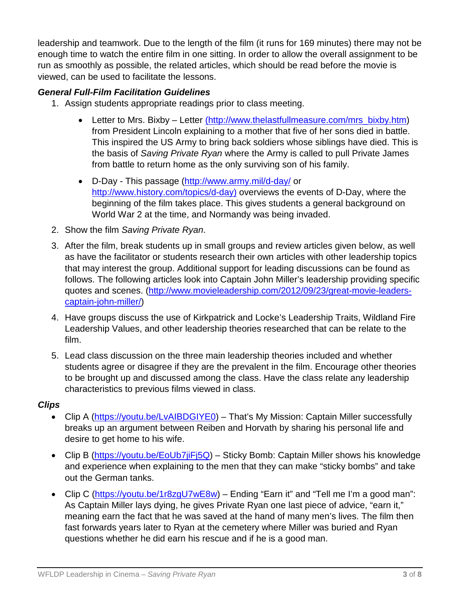leadership and teamwork. Due to the length of the film (it runs for 169 minutes) there may not be enough time to watch the entire film in one sitting. In order to allow the overall assignment to be run as smoothly as possible, the related articles, which should be read before the movie is viewed, can be used to facilitate the lessons.

### *General Full-Film Facilitation Guidelines*

- 1. Assign students appropriate readings prior to class meeting.
	- Letter to Mrs. Bixby Letter (http://www.thelastfullmeasure.com/mrs\_bixby.htm) from President Lincoln explaining to a mother that five of her sons died in battle. This inspired the US Army to bring back soldiers whose siblings have died. This is the basis of *Saving Private Ryan* where the Army is called to pull Private James from battle to return home as the only surviving son of his family.
	- D-Day This passage [\(http://www.army.mil/d-day/](http://www.army.mil/d-day/) or [http://www.history.com/topics/d-day\)](http://www.history.com/topics/d-day)) overviews the events of D-Day, where the beginning of the film takes place. This gives students a general background on World War 2 at the time, and Normandy was being invaded.
- 2. Show the film *Saving Private Ryan*.
- 3. After the film, break students up in small groups and review articles given below, as well as have the facilitator or students research their own articles with other leadership topics that may interest the group. Additional support for leading discussions can be found as follows. The following articles look into Captain John Miller's leadership providing specific quotes and scenes. [\(http://www.movieleadership.com/2012/09/23/great-movie-leaders](http://www.movieleadership.com/2012/09/23/great-movie-leaders-captain-john-miller/)[captain-john-miller/\)](http://www.movieleadership.com/2012/09/23/great-movie-leaders-captain-john-miller/)
- 4. Have groups discuss the use of Kirkpatrick and Locke's Leadership Traits, Wildland Fire Leadership Values, and other leadership theories researched that can be relate to the film.
- 5. Lead class discussion on the three main leadership theories included and whether students agree or disagree if they are the prevalent in the film. Encourage other theories to be brought up and discussed among the class. Have the class relate any leadership characteristics to previous films viewed in class.

### *Clips*

- Clip A [\(https://youtu.be/LvAIBDGIYE0\)](https://youtu.be/LvAIBDGIYE0) That's My Mission: Captain Miller successfully breaks up an argument between Reiben and Horvath by sharing his personal life and desire to get home to his wife.
- Clip B [\(https://youtu.be/EoUb7jiFj5Q\)](https://youtu.be/EoUb7jiFj5Q) Sticky Bomb: Captain Miller shows his knowledge and experience when explaining to the men that they can make "sticky bombs" and take out the German tanks.
- Clip C [\(https://youtu.be/1r8zgU7wE8w\)](https://youtu.be/1r8zgU7wE8w) Ending "Earn it" and "Tell me I'm a good man": As Captain Miller lays dying, he gives Private Ryan one last piece of advice, "earn it," meaning earn the fact that he was saved at the hand of many men's lives. The film then fast forwards years later to Ryan at the cemetery where Miller was buried and Ryan questions whether he did earn his rescue and if he is a good man.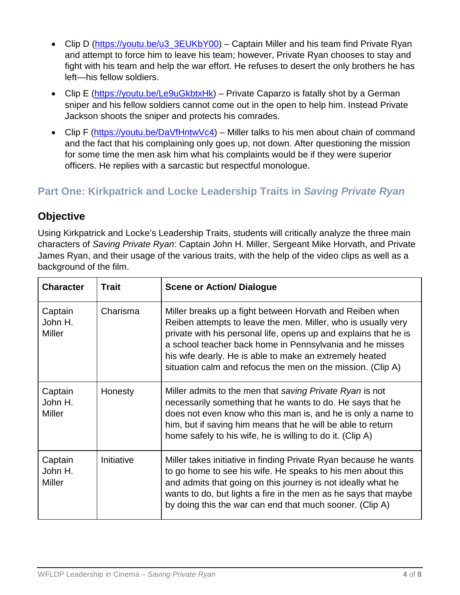- Clip D [\(https://youtu.be/u3\\_3EUKbY00\)](https://youtu.be/u3_3EUKbY00) Captain Miller and his team find Private Ryan and attempt to force him to leave his team; however, Private Ryan chooses to stay and fight with his team and help the war effort. He refuses to desert the only brothers he has left—his fellow soldiers.
- Clip E [\(https://youtu.be/Le9uGkbtxHk\)](https://youtu.be/Le9uGkbtxHk) Private Caparzo is fatally shot by a German sniper and his fellow soldiers cannot come out in the open to help him. Instead Private Jackson shoots the sniper and protects his comrades.
- Clip F [\(https://youtu.be/DaVfHntwVc4\)](https://youtu.be/DaVfHntwVc4) Miller talks to his men about chain of command and the fact that his complaining only goes up, not down. After questioning the mission for some time the men ask him what his complaints would be if they were superior officers. He replies with a sarcastic but respectful monologue.

# **Part One: Kirkpatrick and Locke Leadership Traits in** *Saving Private Ryan*

# **Objective**

Using Kirkpatrick and Locke's Leadership Traits, students will critically analyze the three main characters of *Saving Private Ryan*: Captain John H. Miller, Sergeant Mike Horvath, and Private James Ryan, and their usage of the various traits, with the help of the video clips as well as a background of the film.

| <b>Character</b>                    | <b>Trait</b> | <b>Scene or Action/ Dialogue</b>                                                                                                                                                                                                                                                                                                                                                    |
|-------------------------------------|--------------|-------------------------------------------------------------------------------------------------------------------------------------------------------------------------------------------------------------------------------------------------------------------------------------------------------------------------------------------------------------------------------------|
| Captain<br>John H.<br><b>Miller</b> | Charisma     | Miller breaks up a fight between Horvath and Reiben when<br>Reiben attempts to leave the men. Miller, who is usually very<br>private with his personal life, opens up and explains that he is<br>a school teacher back home in Pennsylvania and he misses<br>his wife dearly. He is able to make an extremely heated<br>situation calm and refocus the men on the mission. (Clip A) |
| Captain<br>John H.<br><b>Miller</b> | Honesty      | Miller admits to the men that saving Private Ryan is not<br>necessarily something that he wants to do. He says that he<br>does not even know who this man is, and he is only a name to<br>him, but if saving him means that he will be able to return<br>home safely to his wife, he is willing to do it. (Clip A)                                                                  |
| Captain<br>John H.<br><b>Miller</b> | Initiative   | Miller takes initiative in finding Private Ryan because he wants<br>to go home to see his wife. He speaks to his men about this<br>and admits that going on this journey is not ideally what he<br>wants to do, but lights a fire in the men as he says that maybe<br>by doing this the war can end that much sooner. (Clip A)                                                      |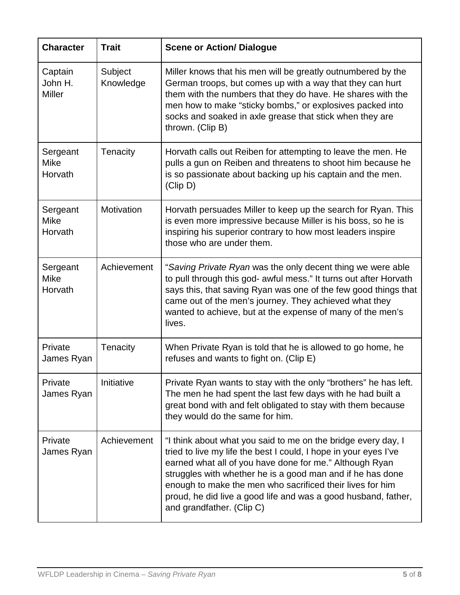| <b>Character</b>                    | <b>Trait</b>         | <b>Scene or Action/ Dialogue</b>                                                                                                                                                                                                                                                                                                                                                                                       |
|-------------------------------------|----------------------|------------------------------------------------------------------------------------------------------------------------------------------------------------------------------------------------------------------------------------------------------------------------------------------------------------------------------------------------------------------------------------------------------------------------|
| Captain<br>John H.<br><b>Miller</b> | Subject<br>Knowledge | Miller knows that his men will be greatly outnumbered by the<br>German troops, but comes up with a way that they can hurt<br>them with the numbers that they do have. He shares with the<br>men how to make "sticky bombs," or explosives packed into<br>socks and soaked in axle grease that stick when they are<br>thrown. (Clip B)                                                                                  |
| Sergeant<br><b>Mike</b><br>Horvath  | Tenacity             | Horvath calls out Reiben for attempting to leave the men. He<br>pulls a gun on Reiben and threatens to shoot him because he<br>is so passionate about backing up his captain and the men.<br>(Clip D)                                                                                                                                                                                                                  |
| Sergeant<br><b>Mike</b><br>Horvath  | Motivation           | Horvath persuades Miller to keep up the search for Ryan. This<br>is even more impressive because Miller is his boss, so he is<br>inspiring his superior contrary to how most leaders inspire<br>those who are under them.                                                                                                                                                                                              |
| Sergeant<br><b>Mike</b><br>Horvath  | Achievement          | "Saving Private Ryan was the only decent thing we were able<br>to pull through this god- awful mess." It turns out after Horvath<br>says this, that saving Ryan was one of the few good things that<br>came out of the men's journey. They achieved what they<br>wanted to achieve, but at the expense of many of the men's<br>lives.                                                                                  |
| Private<br>James Ryan               | Tenacity             | When Private Ryan is told that he is allowed to go home, he<br>refuses and wants to fight on. (Clip E)                                                                                                                                                                                                                                                                                                                 |
| Private<br>James Ryan               | Initiative           | Private Ryan wants to stay with the only "brothers" he has left.<br>The men he had spent the last few days with he had built a<br>great bond with and felt obligated to stay with them because<br>they would do the same for him.                                                                                                                                                                                      |
| Private<br>James Ryan               | Achievement          | "I think about what you said to me on the bridge every day, I<br>tried to live my life the best I could, I hope in your eyes I've<br>earned what all of you have done for me." Although Ryan<br>struggles with whether he is a good man and if he has done<br>enough to make the men who sacrificed their lives for him<br>proud, he did live a good life and was a good husband, father,<br>and grandfather. (Clip C) |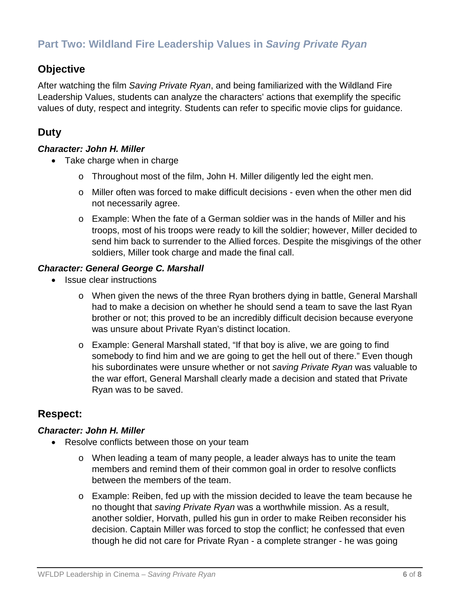# **Part Two: Wildland Fire Leadership Values in** *Saving Private Ryan*

## **Objective**

After watching the film *Saving Private Ryan*, and being familiarized with the Wildland Fire Leadership Values, students can analyze the characters' actions that exemplify the specific values of duty, respect and integrity. Students can refer to specific movie clips for guidance.

# **Duty**

#### *Character: John H. Miller*

- Take charge when in charge
	- o Throughout most of the film, John H. Miller diligently led the eight men.
	- o Miller often was forced to make difficult decisions even when the other men did not necessarily agree.
	- o Example: When the fate of a German soldier was in the hands of Miller and his troops, most of his troops were ready to kill the soldier; however, Miller decided to send him back to surrender to the Allied forces. Despite the misgivings of the other soldiers, Miller took charge and made the final call.

#### *Character: General George C. Marshall*

- Issue clear instructions
	- o When given the news of the three Ryan brothers dying in battle, General Marshall had to make a decision on whether he should send a team to save the last Ryan brother or not; this proved to be an incredibly difficult decision because everyone was unsure about Private Ryan's distinct location.
	- o Example: General Marshall stated, "If that boy is alive, we are going to find somebody to find him and we are going to get the hell out of there." Even though his subordinates were unsure whether or not *saving Private Ryan* was valuable to the war effort, General Marshall clearly made a decision and stated that Private Ryan was to be saved.

### **Respect:**

#### *Character: John H. Miller*

- Resolve conflicts between those on your team
	- o When leading a team of many people, a leader always has to unite the team members and remind them of their common goal in order to resolve conflicts between the members of the team.
	- o Example: Reiben, fed up with the mission decided to leave the team because he no thought that *saving Private Ryan* was a worthwhile mission. As a result, another soldier, Horvath, pulled his gun in order to make Reiben reconsider his decision. Captain Miller was forced to stop the conflict; he confessed that even though he did not care for Private Ryan - a complete stranger - he was going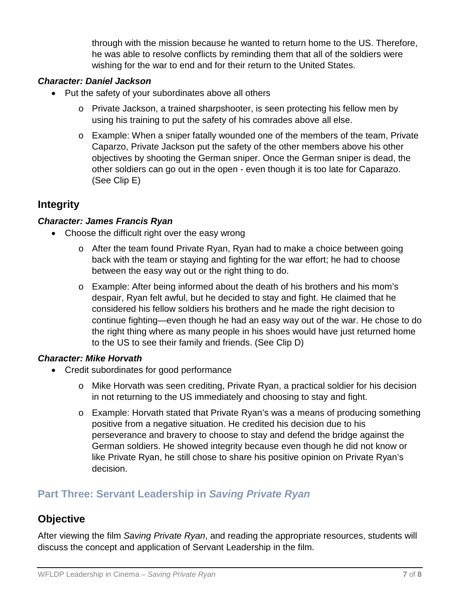through with the mission because he wanted to return home to the US. Therefore, he was able to resolve conflicts by reminding them that all of the soldiers were wishing for the war to end and for their return to the United States.

#### *Character: Daniel Jackson*

- Put the safety of your subordinates above all others
	- o Private Jackson, a trained sharpshooter, is seen protecting his fellow men by using his training to put the safety of his comrades above all else.
	- o Example: When a sniper fatally wounded one of the members of the team, Private Caparzo, Private Jackson put the safety of the other members above his other objectives by shooting the German sniper. Once the German sniper is dead, the other soldiers can go out in the open - even though it is too late for Caparazo. (See Clip E)

### **Integrity**

#### *Character: James Francis Ryan*

- Choose the difficult right over the easy wrong
	- o After the team found Private Ryan, Ryan had to make a choice between going back with the team or staying and fighting for the war effort; he had to choose between the easy way out or the right thing to do.
	- o Example: After being informed about the death of his brothers and his mom's despair, Ryan felt awful, but he decided to stay and fight. He claimed that he considered his fellow soldiers his brothers and he made the right decision to continue fighting—even though he had an easy way out of the war. He chose to do the right thing where as many people in his shoes would have just returned home to the US to see their family and friends. (See Clip D)

#### *Character: Mike Horvath*

- Credit subordinates for good performance
	- o Mike Horvath was seen crediting, Private Ryan, a practical soldier for his decision in not returning to the US immediately and choosing to stay and fight.
	- o Example: Horvath stated that Private Ryan's was a means of producing something positive from a negative situation. He credited his decision due to his perseverance and bravery to choose to stay and defend the bridge against the German soldiers. He showed integrity because even though he did not know or like Private Ryan, he still chose to share his positive opinion on Private Ryan's decision.

### **Part Three: Servant Leadership in** *Saving Private Ryan*

### **Objective**

After viewing the film *Saving Private Ryan*, and reading the appropriate resources, students will discuss the concept and application of Servant Leadership in the film.